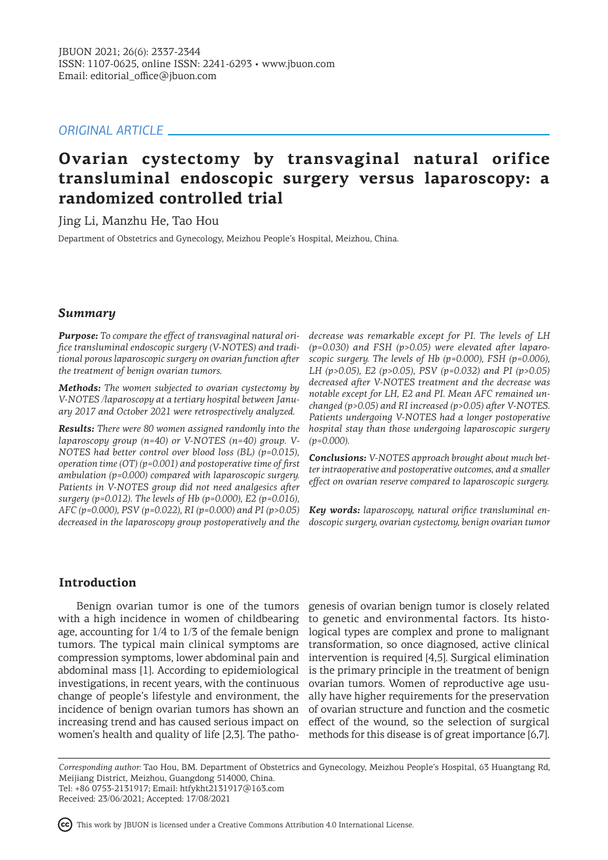# *ORIGINAL ARTICLE*

# **Ovarian cystectomy by transvaginal natural orifice transluminal endoscopic surgery versus laparoscopy: a randomized controlled trial**

Jing Li, Manzhu He, Tao Hou

Department of Obstetrics and Gynecology, Meizhou People's Hospital, Meizhou, China.

# *Summary*

*Purpose: To compare the effect of transvaginal natural orifice transluminal endoscopic surgery (V-NOTES) and traditional porous laparoscopic surgery on ovarian function after the treatment of benign ovarian tumors.* 

*Methods: The women subjected to ovarian cystectomy by V-NOTES /laparoscopy at a tertiary hospital between January 2017 and October 2021 were retrospectively analyzed.* 

*Results: There were 80 women assigned randomly into the laparoscopy group (n=40) or V-NOTES (n=40) group. V-NOTES had better control over blood loss (BL) (p=0.015), operation time (OT) (p=0.001) and postoperative time of first ambulation (p=0.000) compared with laparoscopic surgery. Patients in V-NOTES group did not need analgesics after surgery (p=0.012). The levels of Hb (p=0.000), E2 (p=0.016), AFC (p=0.000), PSV (p=0.022), RI (p=0.000) and PI (p>0.05) decreased in the laparoscopy group postoperatively and the* 

*decrease was remarkable except for PI. The levels of LH (p=0.030) and FSH (p>0.05) were elevated after laparoscopic surgery. The levels of Hb (p=0.000), FSH (p=0.006), LH (p>0.05), E2 (p>0.05), PSV (p=0.032) and PI (p>0.05) decreased after V-NOTES treatment and the decrease was notable except for LH, E2 and PI. Mean AFC remained unchanged (p>0.05) and RI increased (p>0.05) after V-NOTES. Patients undergoing V-NOTES had a longer postoperative hospital stay than those undergoing laparoscopic surgery (p=0.000).*

*Conclusions: V-NOTES approach brought about much better intraoperative and postoperative outcomes, and a smaller effect on ovarian reserve compared to laparoscopic surgery.*

*Key words: laparoscopy, natural orifice transluminal endoscopic surgery, ovarian cystectomy, benign ovarian tumor*

# **Introduction**

Benign ovarian tumor is one of the tumors with a high incidence in women of childbearing age, accounting for 1/4 to 1/3 of the female benign tumors. The typical main clinical symptoms are compression symptoms, lower abdominal pain and abdominal mass [1]. According to epidemiological investigations, in recent years, with the continuous change of people's lifestyle and environment, the incidence of benign ovarian tumors has shown an increasing trend and has caused serious impact on women's health and quality of life [2,3]. The patho-

genesis of ovarian benign tumor is closely related to genetic and environmental factors. Its histological types are complex and prone to malignant transformation, so once diagnosed, active clinical intervention is required [4,5]. Surgical elimination is the primary principle in the treatment of benign ovarian tumors. Women of reproductive age usually have higher requirements for the preservation of ovarian structure and function and the cosmetic effect of the wound, so the selection of surgical methods for this disease is of great importance [6,7].

*Corresponding author:* Tao Hou, BM. Department of Obstetrics and Gynecology, Meizhou People's Hospital, 63 Huangtang Rd, Meijiang District, Meizhou, Guangdong 514000, China. Tel: +86 0753-2131917; Email: htfykht2131917@163.com

Received: 23/06/2021; Accepted: 17/08/2021

This work by JBUON is licensed under a Creative Commons Attribution 4.0 International License.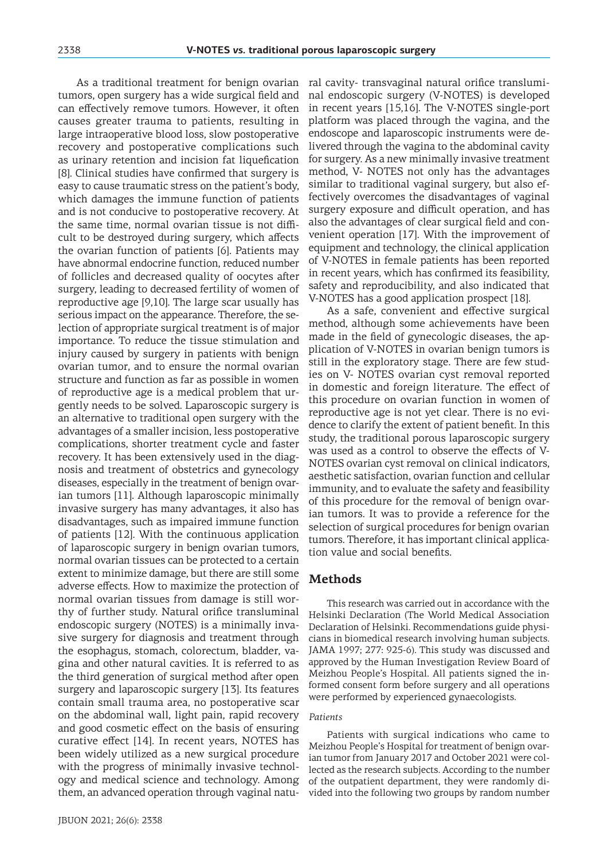As a traditional treatment for benign ovarian tumors, open surgery has a wide surgical field and can effectively remove tumors. However, it often causes greater trauma to patients, resulting in large intraoperative blood loss, slow postoperative recovery and postoperative complications such as urinary retention and incision fat liquefication [8]. Clinical studies have confirmed that surgery is easy to cause traumatic stress on the patient's body, which damages the immune function of patients and is not conducive to postoperative recovery. At the same time, normal ovarian tissue is not difficult to be destroyed during surgery, which affects the ovarian function of patients [6]. Patients may have abnormal endocrine function, reduced number of follicles and decreased quality of oocytes after surgery, leading to decreased fertility of women of reproductive age [9,10]. The large scar usually has serious impact on the appearance. Therefore, the selection of appropriate surgical treatment is of major importance. To reduce the tissue stimulation and injury caused by surgery in patients with benign ovarian tumor, and to ensure the normal ovarian structure and function as far as possible in women of reproductive age is a medical problem that urgently needs to be solved. Laparoscopic surgery is an alternative to traditional open surgery with the advantages of a smaller incision, less postoperative complications, shorter treatment cycle and faster recovery. It has been extensively used in the diagnosis and treatment of obstetrics and gynecology diseases, especially in the treatment of benign ovarian tumors [11]. Although laparoscopic minimally invasive surgery has many advantages, it also has disadvantages, such as impaired immune function of patients [12]. With the continuous application of laparoscopic surgery in benign ovarian tumors, normal ovarian tissues can be protected to a certain extent to minimize damage, but there are still some adverse effects. How to maximize the protection of normal ovarian tissues from damage is still worthy of further study. Natural orifice transluminal endoscopic surgery (NOTES) is a minimally invasive surgery for diagnosis and treatment through the esophagus, stomach, colorectum, bladder, vagina and other natural cavities. It is referred to as the third generation of surgical method after open surgery and laparoscopic surgery [13]. Its features contain small trauma area, no postoperative scar on the abdominal wall, light pain, rapid recovery and good cosmetic effect on the basis of ensuring curative effect [14]. In recent years, NOTES has been widely utilized as a new surgical procedure with the progress of minimally invasive technology and medical science and technology. Among them, an advanced operation through vaginal natural cavity- transvaginal natural orifice transluminal endoscopic surgery (V-NOTES) is developed in recent years [15,16]. The V-NOTES single-port platform was placed through the vagina, and the endoscope and laparoscopic instruments were delivered through the vagina to the abdominal cavity for surgery. As a new minimally invasive treatment method, V- NOTES not only has the advantages similar to traditional vaginal surgery, but also effectively overcomes the disadvantages of vaginal surgery exposure and difficult operation, and has also the advantages of clear surgical field and convenient operation [17]. With the improvement of equipment and technology, the clinical application of V-NOTES in female patients has been reported in recent years, which has confirmed its feasibility, safety and reproducibility, and also indicated that V-NOTES has a good application prospect [18].

As a safe, convenient and effective surgical method, although some achievements have been made in the field of gynecologic diseases, the application of V-NOTES in ovarian benign tumors is still in the exploratory stage. There are few studies on V- NOTES ovarian cyst removal reported in domestic and foreign literature. The effect of this procedure on ovarian function in women of reproductive age is not yet clear. There is no evidence to clarify the extent of patient benefit. In this study, the traditional porous laparoscopic surgery was used as a control to observe the effects of V-NOTES ovarian cyst removal on clinical indicators, aesthetic satisfaction, ovarian function and cellular immunity, and to evaluate the safety and feasibility of this procedure for the removal of benign ovarian tumors. It was to provide a reference for the selection of surgical procedures for benign ovarian tumors. Therefore, it has important clinical application value and social benefits.

# **Methods**

This research was carried out in accordance with the Helsinki Declaration (The World Medical Association Declaration of Helsinki. Recommendations guide physicians in biomedical research involving human subjects. JAMA 1997; 277: 925-6). This study was discussed and approved by the Human Investigation Review Board of Meizhou People's Hospital. All patients signed the informed consent form before surgery and all operations were performed by experienced gynaecologists.

#### *Patients*

Patients with surgical indications who came to Meizhou People's Hospital for treatment of benign ovarian tumor from January 2017 and October 2021 were collected as the research subjects. According to the number of the outpatient department, they were randomly divided into the following two groups by random number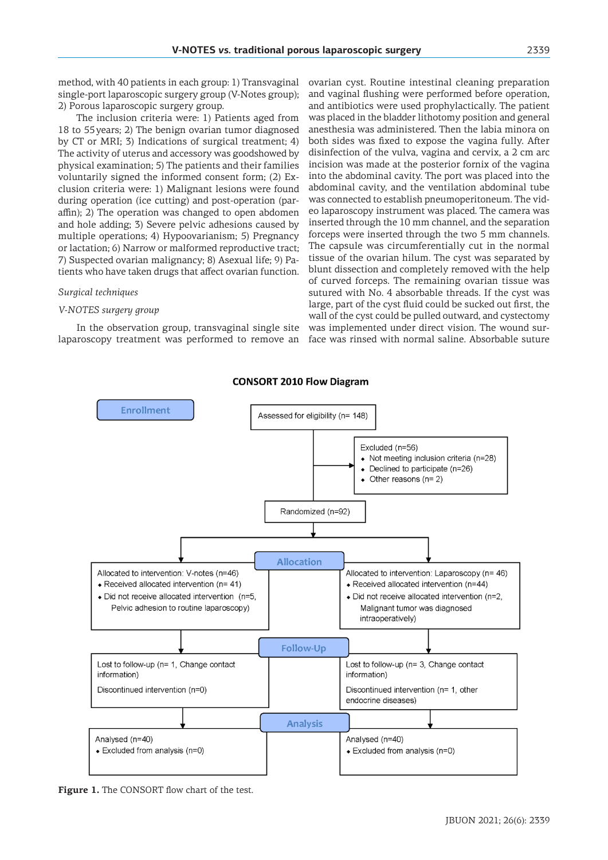method, with 40 patients in each group: 1) Transvaginal single-port laparoscopic surgery group (V-Notes group); 2) Porous laparoscopic surgery group.

The inclusion criteria were: 1) Patients aged from 18 to 55years; 2) The benign ovarian tumor diagnosed by CT or MRI; 3) Indications of surgical treatment; 4) The activity of uterus and accessory was goodshowed by physical examination; 5) The patients and their families voluntarily signed the informed consent form; (2) Exclusion criteria were: 1) Malignant lesions were found during operation (ice cutting) and post-operation (paraffin); 2) The operation was changed to open abdomen and hole adding; 3) Severe pelvic adhesions caused by multiple operations; 4) Hypoovarianism; 5) Pregnancy or lactation; 6) Narrow or malformed reproductive tract; 7) Suspected ovarian malignancy; 8) Asexual life; 9) Patients who have taken drugs that affect ovarian function.

#### *Surgical techniques*

#### *V-NOTES surgery group*

In the observation group, transvaginal single site laparoscopy treatment was performed to remove an ovarian cyst. Routine intestinal cleaning preparation and vaginal flushing were performed before operation, and antibiotics were used prophylactically. The patient was placed in the bladder lithotomy position and general anesthesia was administered. Then the labia minora on both sides was fixed to expose the vagina fully. After disinfection of the vulva, vagina and cervix, a 2 cm arc incision was made at the posterior fornix of the vagina into the abdominal cavity. The port was placed into the abdominal cavity, and the ventilation abdominal tube was connected to establish pneumoperitoneum. The video laparoscopy instrument was placed. The camera was inserted through the 10 mm channel, and the separation forceps were inserted through the two 5 mm channels. The capsule was circumferentially cut in the normal tissue of the ovarian hilum. The cyst was separated by blunt dissection and completely removed with the help of curved forceps. The remaining ovarian tissue was sutured with No. 4 absorbable threads. If the cyst was large, part of the cyst fluid could be sucked out first, the wall of the cyst could be pulled outward, and cystectomy was implemented under direct vision. The wound surface was rinsed with normal saline. Absorbable suture

#### **CONSORT 2010 Flow Diagram**



**Figure 1.** The CONSORT flow chart of the test.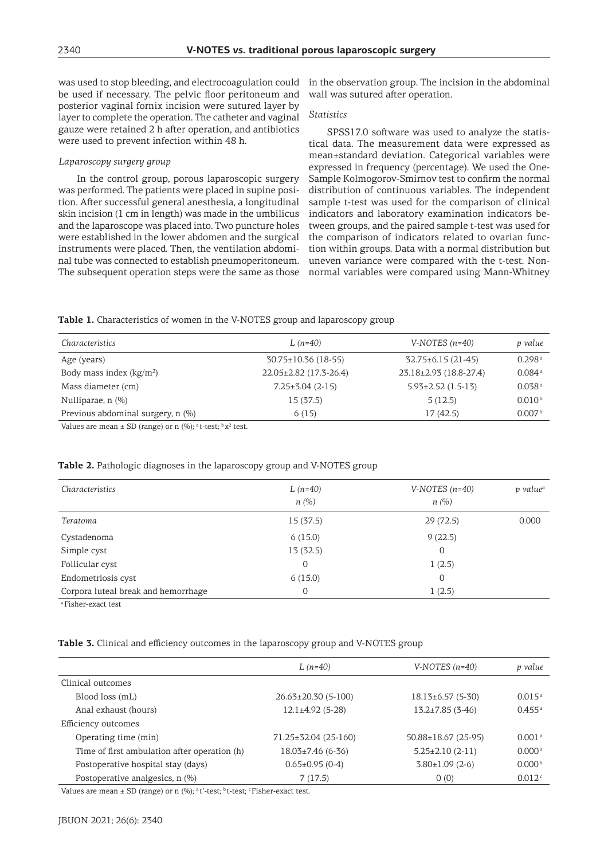was used to stop bleeding, and electrocoagulation could be used if necessary. The pelvic floor peritoneum and posterior vaginal fornix incision were sutured layer by layer to complete the operation. The catheter and vaginal gauze were retained 2 h after operation, and antibiotics were used to prevent infection within 48 h.

#### *Laparoscopy surgery group*

In the control group, porous laparoscopic surgery was performed. The patients were placed in supine position. After successful general anesthesia, a longitudinal skin incision (1 cm in length) was made in the umbilicus and the laparoscope was placed into. Two puncture holes were established in the lower abdomen and the surgical instruments were placed. Then, the ventilation abdominal tube was connected to establish pneumoperitoneum. The subsequent operation steps were the same as those in the observation group. The incision in the abdominal wall was sutured after operation.

#### *Statistics*

SPSS17.0 software was used to analyze the statistical data. The measurement data were expressed as mean±standard deviation. Categorical variables were expressed in frequency (percentage). We used the One-Sample Kolmogorov-Smirnov test to confirm the normal distribution of continuous variables. The independent sample t-test was used for the comparison of clinical indicators and laboratory examination indicators between groups, and the paired sample t-test was used for the comparison of indicators related to ovarian function within groups. Data with a normal distribution but uneven variance were compared with the t-test. Nonnormal variables were compared using Mann-Whitney

**Table 1.** Characteristics of women in the V-NOTES group and laparoscopy group

| Characteristics                   | $L(n=40)$                 | $V-NOTES (n=40)$             | p value              |
|-----------------------------------|---------------------------|------------------------------|----------------------|
| Age (years)                       | $30.75 \pm 10.36$ (18-55) | $32.75 \pm 6.15$ (21-45)     | 0.298a               |
| Body mass index $(kg/m2)$         | 22.05±2.82 (17.3-26.4)    | $23.18 \pm 2.93$ (18.8-27.4) | $0.084$ <sup>a</sup> |
| Mass diameter (cm)                | $7.25 \pm 3.04$ (2-15)    | $5.93 \pm 2.52$ (1.5-13)     | 0.038 <sup>a</sup>   |
| Nulliparae, n (%)                 | 15(37.5)                  | 5(12.5)                      | 0.010 <sup>b</sup>   |
| Previous abdominal surgery, n (%) | 6(15)                     | 17(42.5)                     | 0.007 <sup>b</sup>   |

Values are mean  $\pm$  SD (range) or n (%); <sup>a</sup>t-test; <sup>b</sup>x<sup>2</sup> test.

#### **Table 2.** Pathologic diagnoses in the laparoscopy group and V-NOTES group

| Characteristics                     | $L(n=40)$<br>n(%) | $V-NOTES(n=40)$<br>n(%) | p value <sup>a</sup> |
|-------------------------------------|-------------------|-------------------------|----------------------|
| Teratoma                            | 15(37.5)          | 29(72.5)                | 0.000                |
| Cystadenoma                         | 6(15.0)           | 9(22.5)                 |                      |
| Simple cyst                         | 13(32.5)          | 0                       |                      |
| Follicular cyst                     | 0                 | 1(2.5)                  |                      |
| Endometriosis cyst                  | 6(15.0)           | 0                       |                      |
| Corpora luteal break and hemorrhage | 0                 | 1(2.5)                  |                      |

aFisher-exact test

**Table 3.** Clinical and efficiency outcomes in the laparoscopy group and V-NOTES group

|                                              | $L(n=40)$                  | $V-NOTES (n=40)$          | p value            |
|----------------------------------------------|----------------------------|---------------------------|--------------------|
| Clinical outcomes                            |                            |                           |                    |
| Blood loss (mL)                              | $26.63 \pm 20.30$ (5-100)  | $18.13\pm 6.57(5-30)$     | 0.015a             |
| Anal exhaust (hours)                         | $12.1 \pm 4.92$ (5-28)     | $13.2 \pm 7.85(3 - 46)$   | 0.455a             |
| Efficiency outcomes                          |                            |                           |                    |
| Operating time (min)                         | $71.25 \pm 32.04$ (25-160) | $50.88 \pm 18.67$ (25-95) | 0.001 <sup>a</sup> |
| Time of first ambulation after operation (h) | $18.03 \pm 7.46$ (6-36)    | $5.25 \pm 2.10$ (2-11)    | 0.000a             |
| Postoperative hospital stay (days)           | $0.65 \pm 0.95$ (0-4)      | $3.80 \pm 1.09$ (2-6)     | 0.000 <sup>b</sup> |
| Postoperative analgesics, n (%)              | 7(17.5)                    | 0(0)                      | 0.012c             |

Values are mean  $\pm$  SD (range) or n (%); <sup>a</sup>t'-test; <sup>b</sup>t-test; <sup>c</sup>Fisher-exact test.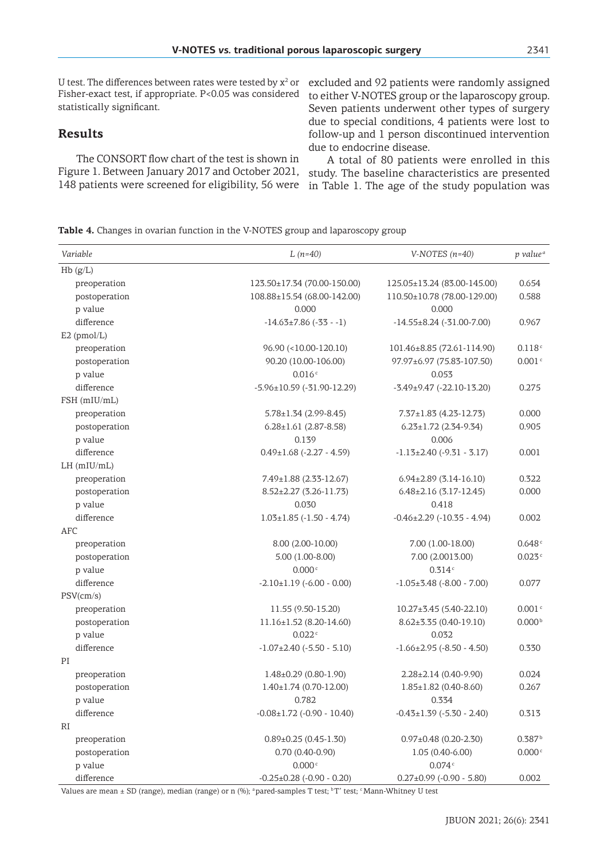U test. The differences between rates were tested by  $x^2$  or excluded and 92 patients were randomly assigned Fisher-exact test, if appropriate. P<0.05 was considered statistically significant.

# **Results**

The CONSORT flow chart of the test is shown in Figure 1. Between January 2017 and October 2021, study. The baseline characteristics are presented

to either V-NOTES group or the laparoscopy group. Seven patients underwent other types of surgery due to special conditions, 4 patients were lost to follow-up and 1 person discontinued intervention due to endocrine disease.

148 patients were screened for eligibility, 56 were in Table 1. The age of the study population was A total of 80 patients were enrolled in this

**Table 4.** Changes in ovarian function in the V-NOTES group and laparoscopy group

| Variable      | $L(n=40)$                              | V-NOTES $(n=40)$                     | p value <sup>a</sup> |
|---------------|----------------------------------------|--------------------------------------|----------------------|
| Hb(g/L)       |                                        |                                      |                      |
| preoperation  | 123.50±17.34 (70.00-150.00)            | 125.05±13.24 (83.00-145.00)          | 0.654                |
| postoperation | 108.88±15.54 (68.00-142.00)            | 110.50±10.78 (78.00-129.00)          | 0.588                |
| p value       | 0.000                                  | 0.000                                |                      |
| difference    | $-14.63 \pm 7.86$ (-33 - -1)           | $-14.55 \pm 8.24$ (-31.00-7.00)      | 0.967                |
| $E2$ (pmol/L) |                                        |                                      |                      |
| preoperation  | 96.90 (<10.00-120.10)                  | 101.46±8.85 (72.61-114.90)           | 0.118c               |
| postoperation | 90.20 (10.00-106.00)                   | 97.97±6.97 (75.83-107.50)            | $0.001$ $^{\rm c}$   |
| p value       | 0.016c                                 | 0.053                                |                      |
| difference    | $-5.96 \pm 10.59$ ( $-31.90 - 12.29$ ) | $-3.49 \pm 9.47$ $(-22.10 - 13.20)$  | 0.275                |
| FSH (mIU/mL)  |                                        |                                      |                      |
| preoperation  | $5.78 \pm 1.34$ (2.99-8.45)            | $7.37 \pm 1.83$ (4.23-12.73)         | 0.000                |
| postoperation | $6.28 \pm 1.61$ (2.87-8.58)            | $6.23 \pm 1.72$ (2.34-9.34)          | 0.905                |
| p value       | 0.139                                  | 0.006                                |                      |
| difference    | $0.49 \pm 1.68$ (-2.27 - 4.59)         | $-1.13\pm2.40$ ( $-9.31$ - 3.17)     | 0.001                |
| $LH$ (mIU/mL) |                                        |                                      |                      |
| preoperation  | 7.49±1.88 (2.33-12.67)                 | $6.94\pm2.89(3.14-16.10)$            | 0.322                |
| postoperation | $8.52 \pm 2.27$ (3.26-11.73)           | $6.48\pm2.16(3.17-12.45)$            | 0.000                |
| p value       | 0.030                                  | 0.418                                |                      |
| difference    | $1.03 \pm 1.85$ (-1.50 - 4.74)         | $-0.46 \pm 2.29$ ( $-10.35 - 4.94$ ) | 0.002                |
| <b>AFC</b>    |                                        |                                      |                      |
| preoperation  | 8.00 (2.00-10.00)                      | 7.00 (1.00-18.00)                    | 0.648c               |
| postoperation | $5.00(1.00-8.00)$                      | 7.00 (2.0013.00)                     | 0.023c               |
| p value       | 0.000c                                 | 0.314c                               |                      |
| difference    | $-2.10 \pm 1.19$ ( $-6.00$ - 0.00)     | $-1.05\pm3.48$ (-8.00 - 7.00)        | 0.077                |
| PSV(cm/s)     |                                        |                                      |                      |
| preoperation  | 11.55 (9.50-15.20)                     | 10.27±3.45 (5.40-22.10)              | 0.001c               |
| postoperation | 11.16±1.52 (8.20-14.60)                | $8.62 \pm 3.35(0.40 - 19.10)$        | 0.000 <sup>b</sup>   |
| p value       | 0.022c                                 | 0.032                                |                      |
| difference    | $-1.07\pm2.40$ ( $-5.50$ - 5.10)       | $-1.66 \pm 2.95$ ( $-8.50 - 4.50$ )  | 0.330                |
| PI            |                                        |                                      |                      |
| preoperation  | $1.48 \pm 0.29$ (0.80-1.90)            | $2.28 \pm 2.14$ (0.40-9.90)          | 0.024                |
| postoperation | $1.40 \pm 1.74$ (0.70-12.00)           | $1.85 \pm 1.82$ (0.40-8.60)          | 0.267                |
| p value       | 0.782                                  | 0.334                                |                      |
| difference    | $-0.08 \pm 1.72$ ( $-0.90 - 10.40$ )   | $-0.43 \pm 1.39$ ( $-5.30 - 2.40$ )  | 0.313                |
| RI            |                                        |                                      |                      |
| preoperation  | $0.89 \pm 0.25$ (0.45-1.30)            | $0.97 \pm 0.48$ (0.20-2.30)          | 0.387 <sup>b</sup>   |
| postoperation | $0.70(0.40-0.90)$                      | $1.05(0.40 - 6.00)$                  | 0.000c               |
| p value       | 0.000c                                 | 0.074c                               |                      |
| difference    | $-0.25 \pm 0.28$ ( $-0.90 - 0.20$ )    | $0.27 \pm 0.99$ (-0.90 - 5.80)       | 0.002                |

Values are mean ± SD (range), median (range) or n (%); <sup>a</sup> pared-samples T test; <sup>b</sup>T' test; <sup>c</sup>Mann-Whitney U test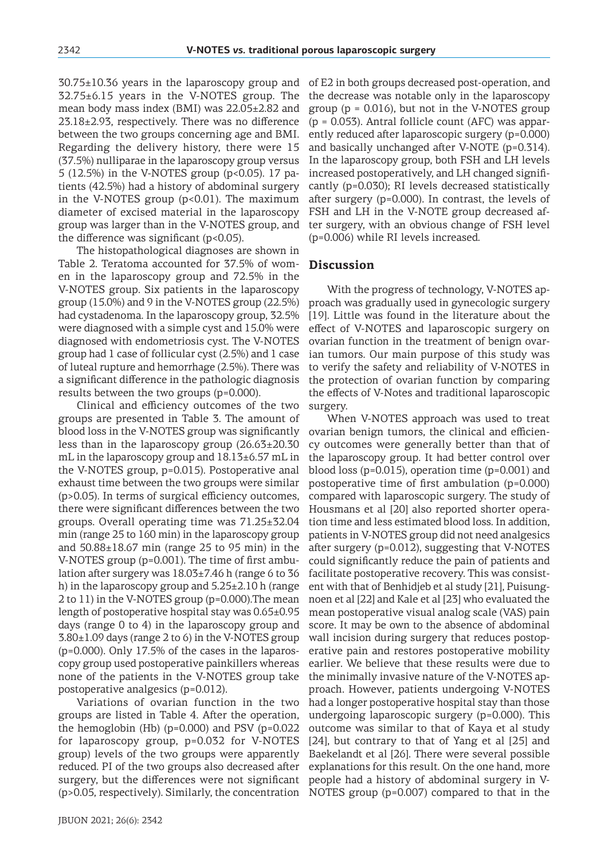30.75±10.36 years in the laparoscopy group and 32.75±6.15 years in the V-NOTES group. The mean body mass index (BMI) was 22.05±2.82 and 23.18±2.93, respectively. There was no difference between the two groups concerning age and BMI. Regarding the delivery history, there were 15 (37.5%) nulliparae in the laparoscopy group versus 5 (12.5%) in the V-NOTES group (p<0.05). 17 patients (42.5%) had a history of abdominal surgery in the V-NOTES group (p<0.01). The maximum diameter of excised material in the laparoscopy group was larger than in the V-NOTES group, and the difference was significant  $(p<0.05)$ .

The histopathological diagnoses are shown in Table 2. Teratoma accounted for 37.5% of women in the laparoscopy group and 72.5% in the V-NOTES group. Six patients in the laparoscopy group (15.0%) and 9 in the V-NOTES group (22.5%) had cystadenoma. In the laparoscopy group, 32.5% were diagnosed with a simple cyst and 15.0% were diagnosed with endometriosis cyst. The V-NOTES group had 1 case of follicular cyst (2.5%) and 1 case of luteal rupture and hemorrhage (2.5%). There was a significant difference in the pathologic diagnosis results between the two groups (p=0.000).

Clinical and efficiency outcomes of the two groups are presented in Table 3. The amount of blood loss in the V-NOTES group was significantly less than in the laparoscopy group (26.63±20.30 mL in the laparoscopy group and 18.13±6.57 mL in the V-NOTES group, p=0.015). Postoperative anal exhaust time between the two groups were similar (p>0.05). In terms of surgical efficiency outcomes, there were significant differences between the two groups. Overall operating time was 71.25±32.04 min (range 25 to 160 min) in the laparoscopy group and 50.88±18.67 min (range 25 to 95 min) in the V-NOTES group (p=0.001). The time of first ambulation after surgery was 18.03±7.46 h (range 6 to 36 h) in the laparoscopy group and 5.25±2.10 h (range 2 to 11) in the V-NOTES group (p=0.000).The mean length of postoperative hospital stay was 0.65±0.95 days (range 0 to 4) in the laparoscopy group and 3.80±1.09 days (range 2 to 6) in the V-NOTES group (p=0.000). Only 17.5% of the cases in the laparoscopy group used postoperative painkillers whereas none of the patients in the V-NOTES group take postoperative analgesics (p=0.012).

Variations of ovarian function in the two groups are listed in Table 4. After the operation, the hemoglobin (Hb) (p=0.000) and PSV (p=0.022 for laparoscopy group, p=0.032 for V-NOTES group) levels of the two groups were apparently reduced. PI of the two groups also decreased after surgery, but the differences were not significant (p>0.05, respectively). Similarly, the concentration of E2 in both groups decreased post-operation, and the decrease was notable only in the laparoscopy group  $(p = 0.016)$ , but not in the V-NOTES group (p = 0.053). Antral follicle count (AFC) was apparently reduced after laparoscopic surgery (p=0.000) and basically unchanged after V-NOTE (p=0.314). In the laparoscopy group, both FSH and LH levels increased postoperatively, and LH changed significantly (p=0.030); RI levels decreased statistically after surgery (p=0.000). In contrast, the levels of FSH and LH in the V-NOTE group decreased after surgery, with an obvious change of FSH level (p=0.006) while RI levels increased.

### **Discussion**

With the progress of technology, V-NOTES approach was gradually used in gynecologic surgery [19]. Little was found in the literature about the effect of V-NOTES and laparoscopic surgery on ovarian function in the treatment of benign ovarian tumors. Our main purpose of this study was to verify the safety and reliability of V-NOTES in the protection of ovarian function by comparing the effects of V-Notes and traditional laparoscopic surgery.

When V-NOTES approach was used to treat ovarian benign tumors, the clinical and efficiency outcomes were generally better than that of the laparoscopy group. It had better control over blood loss (p=0.015), operation time (p=0.001) and postoperative time of first ambulation (p=0.000) compared with laparoscopic surgery. The study of Housmans et al [20] also reported shorter operation time and less estimated blood loss. In addition, patients in V-NOTES group did not need analgesics after surgery (p=0.012), suggesting that V-NOTES could significantly reduce the pain of patients and facilitate postoperative recovery. This was consistent with that of Benhidjeb et al study [21], Puisungnoen et al [22] and Kale et al [23] who evaluated the mean postoperative visual analog scale (VAS) pain score. It may be own to the absence of abdominal wall incision during surgery that reduces postoperative pain and restores postoperative mobility earlier. We believe that these results were due to the minimally invasive nature of the V-NOTES approach. However, patients undergoing V-NOTES had a longer postoperative hospital stay than those undergoing laparoscopic surgery (p=0.000). This outcome was similar to that of Kaya et al study [24], but contrary to that of Yang et al [25] and Baekelandt et al [26]. There were several possible explanations for this result. On the one hand, more people had a history of abdominal surgery in V-NOTES group (p=0.007) compared to that in the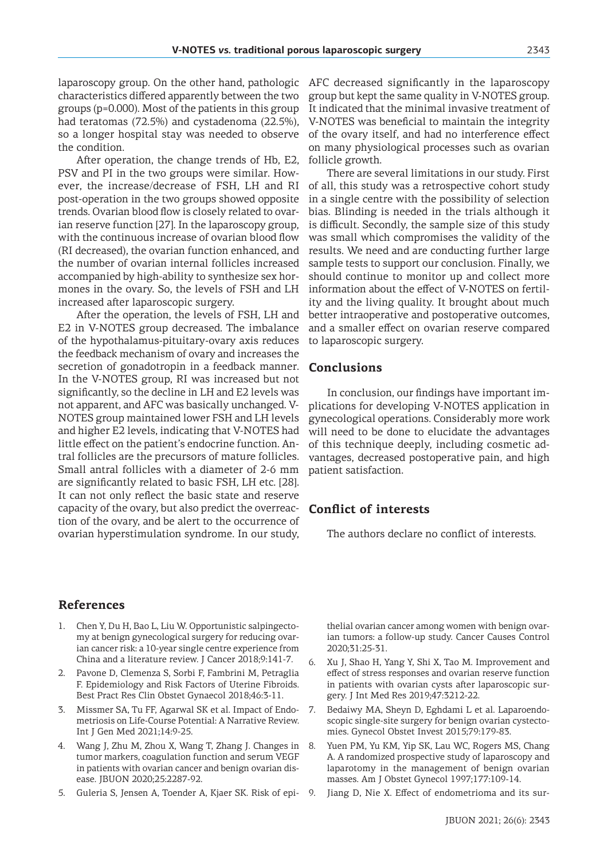laparoscopy group. On the other hand, pathologic characteristics differed apparently between the two groups (p=0.000). Most of the patients in this group had teratomas (72.5%) and cystadenoma (22.5%), so a longer hospital stay was needed to observe the condition.

After operation, the change trends of Hb, E2, PSV and PI in the two groups were similar. However, the increase/decrease of FSH, LH and RI post-operation in the two groups showed opposite trends. Ovarian blood flow is closely related to ovarian reserve function [27]. In the laparoscopy group, with the continuous increase of ovarian blood flow (RI decreased), the ovarian function enhanced, and the number of ovarian internal follicles increased accompanied by high-ability to synthesize sex hormones in the ovary. So, the levels of FSH and LH increased after laparoscopic surgery.

After the operation, the levels of FSH, LH and E2 in V-NOTES group decreased. The imbalance of the hypothalamus-pituitary-ovary axis reduces the feedback mechanism of ovary and increases the secretion of gonadotropin in a feedback manner. In the V-NOTES group, RI was increased but not significantly, so the decline in LH and E2 levels was not apparent, and AFC was basically unchanged. V-NOTES group maintained lower FSH and LH levels and higher E2 levels, indicating that V-NOTES had little effect on the patient's endocrine function. Antral follicles are the precursors of mature follicles. Small antral follicles with a diameter of 2-6 mm are significantly related to basic FSH, LH etc. [28]. It can not only reflect the basic state and reserve capacity of the ovary, but also predict the overreaction of the ovary, and be alert to the occurrence of ovarian hyperstimulation syndrome. In our study,

AFC decreased significantly in the laparoscopy group but kept the same quality in V-NOTES group. It indicated that the minimal invasive treatment of V-NOTES was beneficial to maintain the integrity of the ovary itself, and had no interference effect on many physiological processes such as ovarian follicle growth.

There are several limitations in our study. First of all, this study was a retrospective cohort study in a single centre with the possibility of selection bias. Blinding is needed in the trials although it is difficult. Secondly, the sample size of this study was small which compromises the validity of the results. We need and are conducting further large sample tests to support our conclusion. Finally, we should continue to monitor up and collect more information about the effect of V-NOTES on fertility and the living quality. It brought about much better intraoperative and postoperative outcomes, and a smaller effect on ovarian reserve compared to laparoscopic surgery.

### **Conclusions**

In conclusion, our findings have important implications for developing V-NOTES application in gynecological operations. Considerably more work will need to be done to elucidate the advantages of this technique deeply, including cosmetic advantages, decreased postoperative pain, and high patient satisfaction.

# **Conflict of interests**

The authors declare no conflict of interests.

### **References**

- 1. Chen Y, Du H, Bao L, Liu W. Opportunistic salpingectomy at benign gynecological surgery for reducing ovarian cancer risk: a 10-year single centre experience from China and a literature review. J Cancer 2018;9:141-7.
- 2. Pavone D, Clemenza S, Sorbi F, Fambrini M, Petraglia F. Epidemiology and Risk Factors of Uterine Fibroids. Best Pract Res Clin Obstet Gynaecol 2018;46:3-11.
- 3. Missmer SA, Tu FF, Agarwal SK et al. Impact of Endometriosis on Life-Course Potential: A Narrative Review. Int J Gen Med 2021;14:9-25.
- 4. Wang J, Zhu M, Zhou X, Wang T, Zhang J. Changes in tumor markers, coagulation function and serum VEGF in patients with ovarian cancer and benign ovarian disease. JBUON 2020;25:2287-92.
- 5. Guleria S, Jensen A, Toender A, Kjaer SK. Risk of epi-

thelial ovarian cancer among women with benign ovarian tumors: a follow-up study. Cancer Causes Control 2020;31:25-31.

- 6. Xu J, Shao H, Yang Y, Shi X, Tao M. Improvement and effect of stress responses and ovarian reserve function in patients with ovarian cysts after laparoscopic surgery. J Int Med Res 2019;47:3212-22.
- 7. Bedaiwy MA, Sheyn D, Eghdami L et al. Laparoendoscopic single-site surgery for benign ovarian cystectomies. Gynecol Obstet Invest 2015;79:179-83.
- 8. Yuen PM, Yu KM, Yip SK, Lau WC, Rogers MS, Chang A. A randomized prospective study of laparoscopy and laparotomy in the management of benign ovarian masses. Am J Obstet Gynecol 1997;177:109-14.
	- Jiang D, Nie X. Effect of endometrioma and its sur-